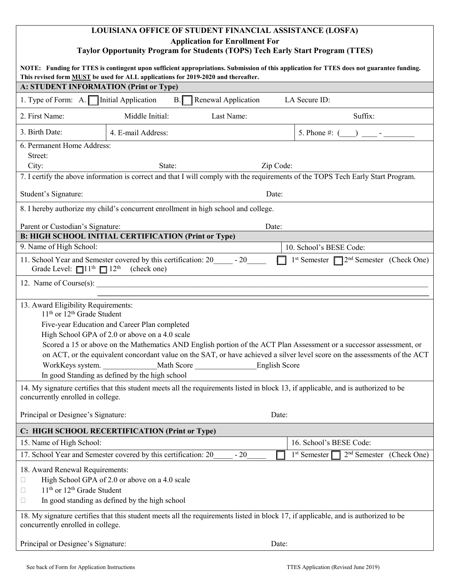# **LOUISIANA OFFICE OF STUDENT FINANCIAL ASSISTANCE (LOSFA) Application for Enrollment For Taylor Opportunity Program for Students (TOPS) Tech Early Start Program (TTES)**

| NOTE: Funding for TTES is contingent upon sufficient appropriations. Submission of this application for TTES does not guarantee funding.<br>This revised form <b>MUST</b> be used for ALL applications for 2019-2020 and thereafter.                                                                                                                                                                                                                                                                                                              |                                                                                                  |            |                          |                            |
|---------------------------------------------------------------------------------------------------------------------------------------------------------------------------------------------------------------------------------------------------------------------------------------------------------------------------------------------------------------------------------------------------------------------------------------------------------------------------------------------------------------------------------------------------|--------------------------------------------------------------------------------------------------|------------|--------------------------|----------------------------|
| A: STUDENT INFORMATION (Print or Type)                                                                                                                                                                                                                                                                                                                                                                                                                                                                                                            |                                                                                                  |            |                          |                            |
| LA Secure ID:<br>1. Type of Form: A. $\Box$ Initial Application<br>$B.\Gamma$<br>Renewal Application                                                                                                                                                                                                                                                                                                                                                                                                                                              |                                                                                                  |            |                          |                            |
| 2. First Name:                                                                                                                                                                                                                                                                                                                                                                                                                                                                                                                                    | Middle Initial:                                                                                  | Last Name: |                          | Suffix:                    |
| 3. Birth Date:                                                                                                                                                                                                                                                                                                                                                                                                                                                                                                                                    | 4. E-mail Address:                                                                               |            |                          |                            |
| 6. Permanent Home Address:<br>Street:<br>City:                                                                                                                                                                                                                                                                                                                                                                                                                                                                                                    | State:                                                                                           |            | Zip Code:                |                            |
| 7. I certify the above information is correct and that I will comply with the requirements of the TOPS Tech Early Start Program.                                                                                                                                                                                                                                                                                                                                                                                                                  |                                                                                                  |            |                          |                            |
| Student's Signature:                                                                                                                                                                                                                                                                                                                                                                                                                                                                                                                              |                                                                                                  | Date:      |                          |                            |
| 8. I hereby authorize my child's concurrent enrollment in high school and college.                                                                                                                                                                                                                                                                                                                                                                                                                                                                |                                                                                                  |            |                          |                            |
| Parent or Custodian's Signature:<br>Date:                                                                                                                                                                                                                                                                                                                                                                                                                                                                                                         |                                                                                                  |            |                          |                            |
| <b>B: HIGH SCHOOL INITIAL CERTIFICATION (Print or Type)</b>                                                                                                                                                                                                                                                                                                                                                                                                                                                                                       |                                                                                                  |            |                          |                            |
| 9. Name of High School:                                                                                                                                                                                                                                                                                                                                                                                                                                                                                                                           |                                                                                                  |            | 10. School's BESE Code:  |                            |
| 11. School Year and Semester covered by this certification: 20 - 20<br>$1st$ Semester $\Box$ 2 <sup>nd</sup> Semester (Check One)<br>Grade Level: $\Box 11^{\text{th}}$ $\Box 12^{\text{th}}$ (check one)                                                                                                                                                                                                                                                                                                                                         |                                                                                                  |            |                          |                            |
| 12. Name of Course(s): $\frac{1}{2}$ and $\frac{1}{2}$ and $\frac{1}{2}$ and $\frac{1}{2}$ and $\frac{1}{2}$ and $\frac{1}{2}$ and $\frac{1}{2}$ and $\frac{1}{2}$ and $\frac{1}{2}$ and $\frac{1}{2}$ and $\frac{1}{2}$ and $\frac{1}{2}$ and $\frac{1}{2}$ and $\frac{1}{2}$ and $\$                                                                                                                                                                                                                                                            |                                                                                                  |            |                          |                            |
| 13. Award Eligibility Requirements:<br>11 <sup>th</sup> or 12 <sup>th</sup> Grade Student<br>Five-year Education and Career Plan completed<br>High School GPA of 2.0 or above on a 4.0 scale<br>Scored a 15 or above on the Mathematics AND English portion of the ACT Plan Assessment or a successor assessment, or<br>on ACT, or the equivalent concordant value on the SAT, or have achieved a silver level score on the assessments of the ACT<br>WorkKeys system. Math Score English Score<br>In good Standing as defined by the high school |                                                                                                  |            |                          |                            |
| 14. My signature certifies that this student meets all the requirements listed in block 13, if applicable, and is authorized to be<br>concurrently enrolled in college.                                                                                                                                                                                                                                                                                                                                                                           |                                                                                                  |            |                          |                            |
| Principal or Designee's Signature:                                                                                                                                                                                                                                                                                                                                                                                                                                                                                                                |                                                                                                  |            | Date:                    |                            |
| C: HIGH SCHOOL RECERTIFICATION (Print or Type)                                                                                                                                                                                                                                                                                                                                                                                                                                                                                                    |                                                                                                  |            |                          |                            |
| 15. Name of High School:                                                                                                                                                                                                                                                                                                                                                                                                                                                                                                                          |                                                                                                  |            | 16. School's BESE Code:  |                            |
| 17. School Year and Semester covered by this certification: 20                                                                                                                                                                                                                                                                                                                                                                                                                                                                                    |                                                                                                  | $-20$      | 1 <sup>st</sup> Semester | $2nd$ Semester (Check One) |
| 18. Award Renewal Requirements:<br>Ш<br>11 <sup>th</sup> or 12 <sup>th</sup> Grade Student<br>Ш<br>u                                                                                                                                                                                                                                                                                                                                                                                                                                              | High School GPA of 2.0 or above on a 4.0 scale<br>In good standing as defined by the high school |            |                          |                            |
| 18. My signature certifies that this student meets all the requirements listed in block 17, if applicable, and is authorized to be<br>concurrently enrolled in college.                                                                                                                                                                                                                                                                                                                                                                           |                                                                                                  |            |                          |                            |
| Principal or Designee's Signature:                                                                                                                                                                                                                                                                                                                                                                                                                                                                                                                |                                                                                                  |            | Date:                    |                            |